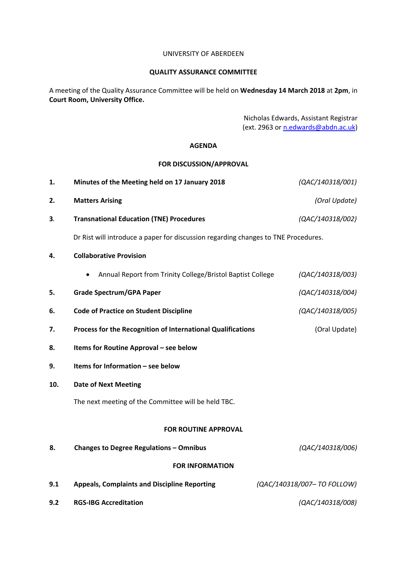#### UNIVERSITY OF ABERDEEN

## **QUALITY ASSURANCE COMMITTEE**

A meeting of the Quality Assurance Committee will be held on **Wednesday 14 March 2018** at **2pm**, in **Court Room, University Office.**

> Nicholas Edwards, Assistant Registrar (ext. 2963 or [n.edwards@abdn.ac.uk\)](mailto:n.edwards@abdn.ac.uk)

## **AGENDA**

## **FOR DISCUSSION/APPROVAL**

| 1.                          | Minutes of the Meeting held on 17 January 2018                                     | (QAC/140318/001)            |
|-----------------------------|------------------------------------------------------------------------------------|-----------------------------|
| 2.                          | <b>Matters Arising</b>                                                             | (Oral Update)               |
| 3.                          | <b>Transnational Education (TNE) Procedures</b>                                    | (QAC/140318/002)            |
|                             | Dr Rist will introduce a paper for discussion regarding changes to TNE Procedures. |                             |
| 4.                          | <b>Collaborative Provision</b>                                                     |                             |
|                             | Annual Report from Trinity College/Bristol Baptist College                         | (QAC/140318/003)            |
| 5.                          | <b>Grade Spectrum/GPA Paper</b>                                                    | (QAC/140318/004)            |
| 6.                          | <b>Code of Practice on Student Discipline</b>                                      | (QAC/140318/005)            |
| 7.                          | Process for the Recognition of International Qualifications                        | (Oral Update)               |
| 8.                          | Items for Routine Approval - see below                                             |                             |
| 9.                          | Items for Information - see below                                                  |                             |
| 10.                         | <b>Date of Next Meeting</b>                                                        |                             |
|                             | The next meeting of the Committee will be held TBC.                                |                             |
| <b>FOR ROUTINE APPROVAL</b> |                                                                                    |                             |
| 8.                          | <b>Changes to Degree Regulations - Omnibus</b>                                     | (QAC/140318/006)            |
| <b>FOR INFORMATION</b>      |                                                                                    |                             |
| 9.1                         | <b>Appeals, Complaints and Discipline Reporting</b>                                | (QAC/140318/007- TO FOLLOW) |
| 9.2                         | <b>RGS-IBG Accreditation</b>                                                       | (QAC/140318/008)            |